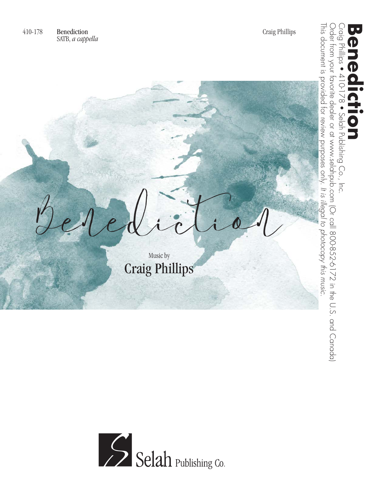Benediction Music by Craig Phillips

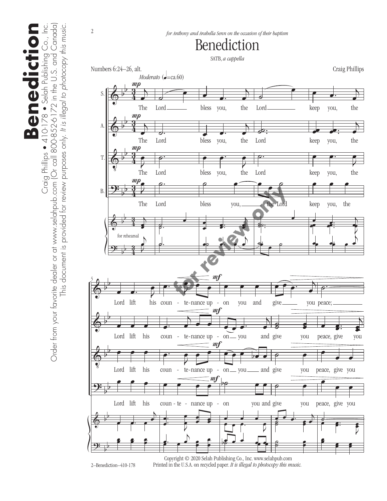Craig Phillips ● 410-178 ● Selah Publishing Co., Inc.<br>Order from your favorite dealer or at www.selahpub.com (Or call 800-852-6172 in the U.S. and Canada) Order from your favorite dealer or at www.selahpub.com (Or call 800-852-6172 in the U.S. and Canada) **Benediction** Craig Phillips • 410-178 • Selah Publishing Co., Inc. This document is provided for review purposes only. It is illegal to photocopy this music. This document is provided for review purposes only. *It is illegal to photocopy this music.* **Benediction** 



2–Benediction–410-178

Printed in the U.S.A. on recycled paper. *It is illegal to photocopy this music.*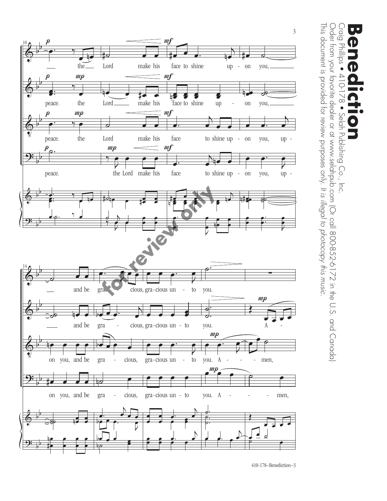

This document is provided for review purposes only. It is illegal to photocopy this music. This document is provided for review purposes only. Order from your favorite dealer or at 172 in the U.S. and Co-852-6172 in the U.S. and Canada) Order from your favorite dealer or at www.selahpub.com (Or call 800-852-6172 in the U.S. and Canada) Craig Phillips ● Craig Phillips • 410-178 • Selah Publishing Co., Inc. **Benediction** יו  $\rightarrow$ Ģ  $\sim 8$ Selah Publishing Co., Inc. *It is illegal to photocopy this music.*

 $\bullet$ 

Ľ

410-178–Benediction–3